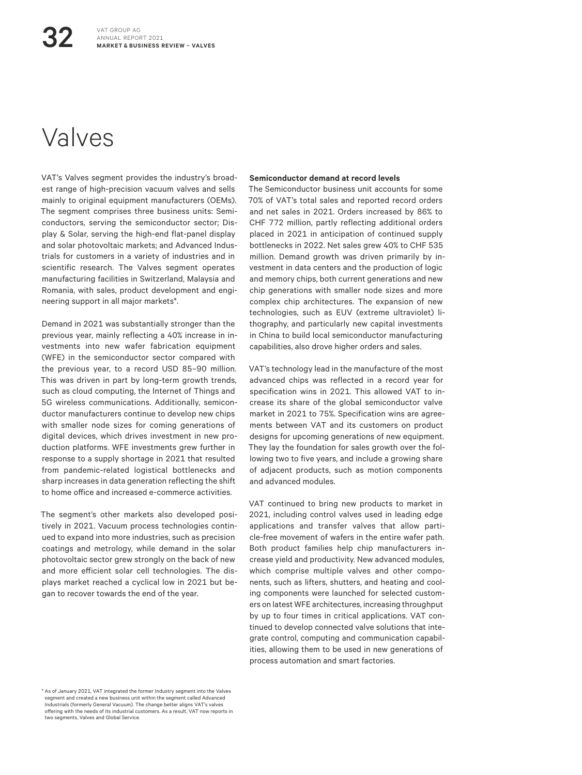# Valves

32

VAT's Valves segment provides the industry's broadest range of high-precision vacuum valves and sells mainly to original equipment manufacturers (OEMs). The segment comprises three business units: Semiconductors, serving the semiconductor sector; Display & Solar, serving the high-end flat-panel display and solar photovoltaic markets; and Advanced Industrials for customers in a variety of industries and in scientific research. The Valves segment operates manufacturing facilities in Switzerland, Malaysia and Romania, with sales, product development and engineering support in all major markets\*.

Demand in 2021 was substantially stronger than the previous year, mainly reflecting a 40% increase in investments into new wafer fabrication equipment (WFE) in the semiconductor sector compared with the previous year, to a record USD 85–90 million. This was driven in part by long-term growth trends, such as cloud computing, the Internet of Things and 5G wireless communications. Additionally, semiconductor manufacturers continue to develop new chips with smaller node sizes for coming generations of digital devices, which drives investment in new production platforms. WFE investments grew further in response to a supply shortage in 2021 that resulted from pandemic-related logistical bottlenecks and sharp increases in data generation reflecting the shift to home office and increased e-commerce activities.

The segment's other markets also developed positively in 2021. Vacuum process technologies continued to expand into more industries, such as precision coatings and metrology, while demand in the solar photovoltaic sector grew strongly on the back of new and more efficient solar cell technologies. The displays market reached a cyclical low in 2021 but began to recover towards the end of the year.

#### **Semiconductor demand at record levels**

The Semiconductor business unit accounts for some 70% of VAT's total sales and reported record orders and net sales in 2021. Orders increased by 86% to CHF 772 million, partly reflecting additional orders placed in 2021 in anticipation of continued supply bottlenecks in 2022. Net sales grew 40% to CHF 535 million. Demand growth was driven primarily by investment in data centers and the production of logic and memory chips, both current generations and new chip generations with smaller node sizes and more complex chip architectures. The expansion of new technologies, such as EUV (extreme ultraviolet) lithography, and particularly new capital investments in China to build local semiconductor manufacturing capabilities, also drove higher orders and sales.

VAT's technology lead in the manufacture of the most advanced chips was reflected in a record year for specification wins in 2021. This allowed VAT to increase its share of the global semiconductor valve market in 2021 to 75%. Specification wins are agreements between VAT and its customers on product designs for upcoming generations of new equipment. They lay the foundation for sales growth over the following two to five years, and include a growing share of adjacent products, such as motion components and advanced modules.

VAT continued to bring new products to market in 2021, including control valves used in leading edge applications and transfer valves that allow particle-free movement of wafers in the entire wafer path. Both product families help chip manufacturers increase yield and productivity. New advanced modules, which comprise multiple valves and other components, such as lifters, shutters, and heating and cooling components were launched for selected customers on latest WFE architectures, increasing throughput by up to four times in critical applications. VAT continued to develop connected valve solutions that integrate control, computing and communication capabilities, allowing them to be used in new generations of process automation and smart factories.

<sup>\*</sup> As of January 2021, VAT integrated the former Industry segment into the Valves segment and created a new business unit within the segment called Advanced Industrials (formerly General Vacuum). The change better aligns VAT's valves offering with the needs of its industrial customers. As a result, VAT now reports in two segments, Valves and Global Service.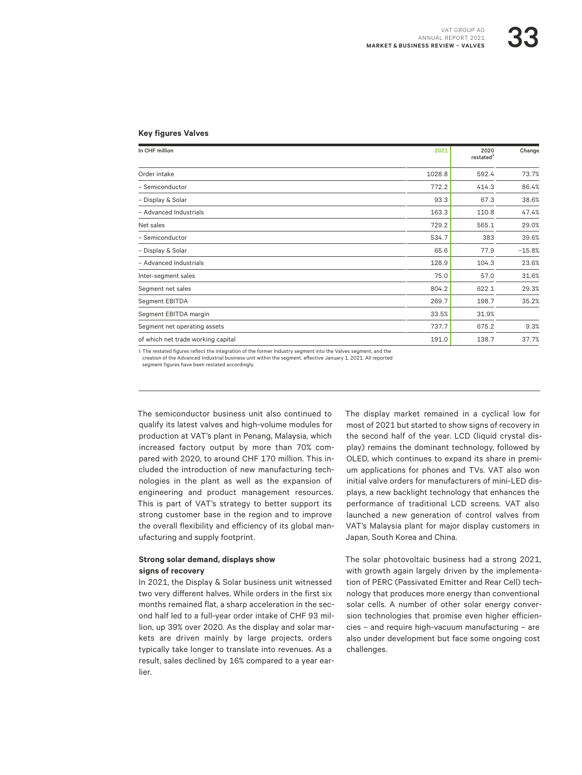#### **Key figures Valves**

| In CHF million                     | 2021   | 2020<br>restated <sup>1</sup> | Change   |
|------------------------------------|--------|-------------------------------|----------|
| Order intake                       | 1028.8 | 592.4                         | 73.7%    |
| - Semiconductor                    | 772.2  | 414.3                         | 86.4%    |
| - Display & Solar                  | 93.3   | 67.3                          | 38.6%    |
| - Advanced Industrials             | 163.3  | 110.8                         | 47.4%    |
| Net sales                          | 729.2  | 565.1                         | 29.0%    |
| - Semiconductor                    | 534.7  | 383                           | 39.6%    |
| - Display & Solar                  | 65.6   | 77.9                          | $-15.8%$ |
| - Advanced Industrials             | 128.9  | 104.3                         | 23.6%    |
| Inter-segment sales                | 75.0   | 57.0                          | 31.6%    |
| Segment net sales                  | 804.2  | 622.1                         | 29.3%    |
| Segment EBITDA                     | 269.7  | 198.7                         | 35.2%    |
| Segment EBITDA margin              | 33.5%  | 31.9%                         |          |
| Segment net operating assets       | 737.7  | 675.2                         | 9.3%     |
| of which net trade working capital | 191.0  | 138.7                         | 37.7%    |

1 The restated figures reflect the integration of the former Industry segment into the Valves segment, and the

creation of the Advanced Industrial business unit within the segment, effective January 1, 2021. All reported segment figures have been restated accordingly.

The semiconductor business unit also continued to qualify its latest valves and high-volume modules for production at VAT's plant in Penang, Malaysia, which increased factory output by more than 70% compared with 2020, to around CHF 170 million. This included the introduction of new manufacturing technologies in the plant as well as the expansion of engineering and product management resources. This is part of VAT's strategy to better support its strong customer base in the region and to improve the overall flexibility and efficiency of its global manufacturing and supply footprint.

### **Strong solar demand, displays show signs of recovery**

In 2021, the Display & Solar business unit witnessed two very different halves. While orders in the first six months remained flat, a sharp acceleration in the second half led to a full-year order intake of CHF 93 million, up 39% over 2020. As the display and solar markets are driven mainly by large projects, orders typically take longer to translate into revenues. As a result, sales declined by 16% compared to a year earlier.

The display market remained in a cyclical low for most of 2021 but started to show signs of recovery in the second half of the year. LCD (liquid crystal display) remains the dominant technology, followed by OLED, which continues to expand its share in premium applications for phones and TVs. VAT also won initial valve orders for manufacturers of mini-LED displays, a new backlight technology that enhances the performance of traditional LCD screens. VAT also launched a new generation of control valves from VAT's Malaysia plant for major display customers in Japan, South Korea and China.

The solar photovoltaic business had a strong 2021, with growth again largely driven by the implementation of PERC (Passivated Emitter and Rear Cell) technology that produces more energy than conventional solar cells. A number of other solar energy conversion technologies that promise even higher efficiencies – and require high-vacuum manufacturing – are also under development but face some ongoing cost challenges.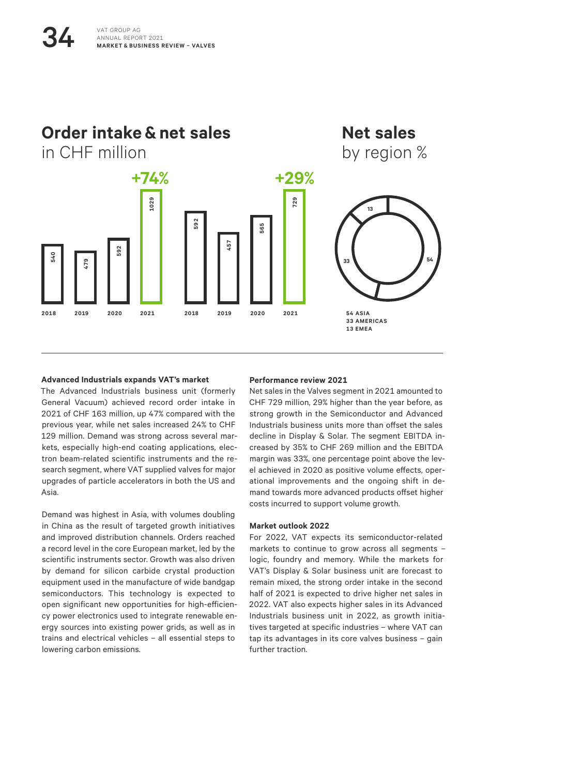

#### **Advanced Industrials expands VAT's market**

The Advanced Industrials business unit (formerly General Vacuum) achieved record order intake in 2021 of CHF 163 million, up 47% compared with the previous year, while net sales increased 24% to CHF 129 million. Demand was strong across several markets, especially high-end coating applications, electron beam-related scientific instruments and the research segment, where VAT supplied valves for major upgrades of particle accelerators in both the US and Asia.

Demand was highest in Asia, with volumes doubling in China as the result of targeted growth initiatives and improved distribution channels. Orders reached a record level in the core European market, led by the scientific instruments sector. Growth was also driven by demand for silicon carbide crystal production equipment used in the manufacture of wide bandgap semiconductors. This technology is expected to open significant new opportunities for high-efficiency power electronics used to integrate renewable energy sources into existing power grids, as well as in trains and electrical vehicles – all essential steps to lowering carbon emissions.

#### **Performance review 2021**

Net sales in the Valves segment in 2021 amounted to CHF 729 million, 29% higher than the year before, as strong growth in the Semiconductor and Advanced Industrials business units more than offset the sales decline in Display & Solar. The segment EBITDA increased by 35% to CHF 269 million and the EBITDA margin was 33%, one percentage point above the level achieved in 2020 as positive volume effects, operational improvements and the ongoing shift in demand towards more advanced products offset higher costs incurred to support volume growth.

#### **Market outlook 2022**

For 2022, VAT expects its semiconductor-related markets to continue to grow across all segments – logic, foundry and memory. While the markets for VAT's Display & Solar business unit are forecast to remain mixed, the strong order intake in the second half of 2021 is expected to drive higher net sales in 2022. VAT also expects higher sales in its Advanced Industrials business unit in 2022, as growth initiatives targeted at specific industries – where VAT can tap its advantages in its core valves business – gain further traction.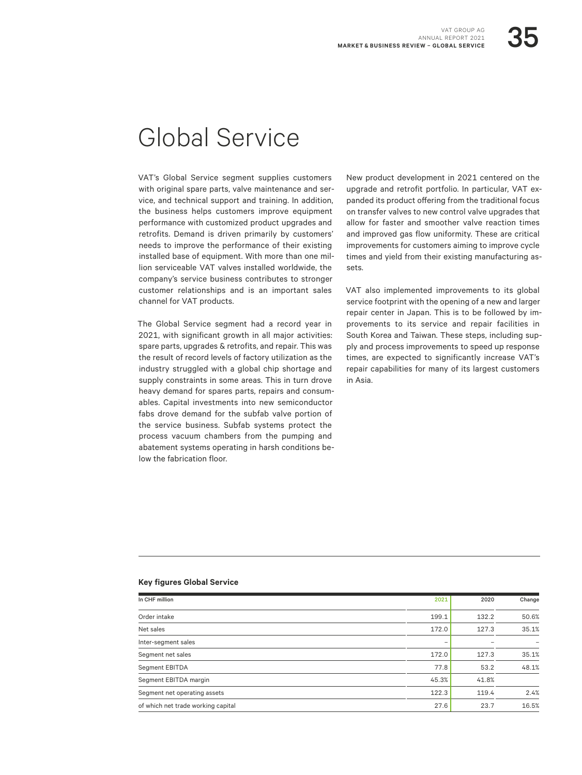# Global Service

VAT's Global Service segment supplies customers with original spare parts, valve maintenance and service, and technical support and training. In addition, the business helps customers improve equipment performance with customized product upgrades and retrofits. Demand is driven primarily by customers' needs to improve the performance of their existing installed base of equipment. With more than one million serviceable VAT valves installed worldwide, the company's service business contributes to stronger customer relationships and is an important sales channel for VAT products.

The Global Service segment had a record year in 2021, with significant growth in all major activities: spare parts, upgrades & retrofits, and repair. This was the result of record levels of factory utilization as the industry struggled with a global chip shortage and supply constraints in some areas. This in turn drove heavy demand for spares parts, repairs and consumables. Capital investments into new semiconductor fabs drove demand for the subfab valve portion of the service business. Subfab systems protect the process vacuum chambers from the pumping and abatement systems operating in harsh conditions below the fabrication floor.

New product development in 2021 centered on the upgrade and retrofit portfolio. In particular, VAT expanded its product offering from the traditional focus on transfer valves to new control valve upgrades that allow for faster and smoother valve reaction times and improved gas flow uniformity. These are critical improvements for customers aiming to improve cycle times and yield from their existing manufacturing assets.

VAT also implemented improvements to its global service footprint with the opening of a new and larger repair center in Japan. This is to be followed by improvements to its service and repair facilities in South Korea and Taiwan. These steps, including supply and process improvements to speed up response times, are expected to significantly increase VAT's repair capabilities for many of its largest customers in Asia.

### **Key figures Global Service**

| In CHF million                     | 2021  | 2020  | Change |
|------------------------------------|-------|-------|--------|
| Order intake                       | 199.1 | 132.2 | 50.6%  |
| Net sales                          | 172.0 | 127.3 | 35.1%  |
| Inter-segment sales                | -     |       |        |
| Segment net sales                  | 172.0 | 127.3 | 35.1%  |
| Segment EBITDA                     | 77.8  | 53.2  | 48.1%  |
| Segment EBITDA margin              | 45.3% | 41.8% |        |
| Segment net operating assets       | 122.3 | 119.4 | 2.4%   |
| of which net trade working capital | 27.6  | 23.7  | 16.5%  |